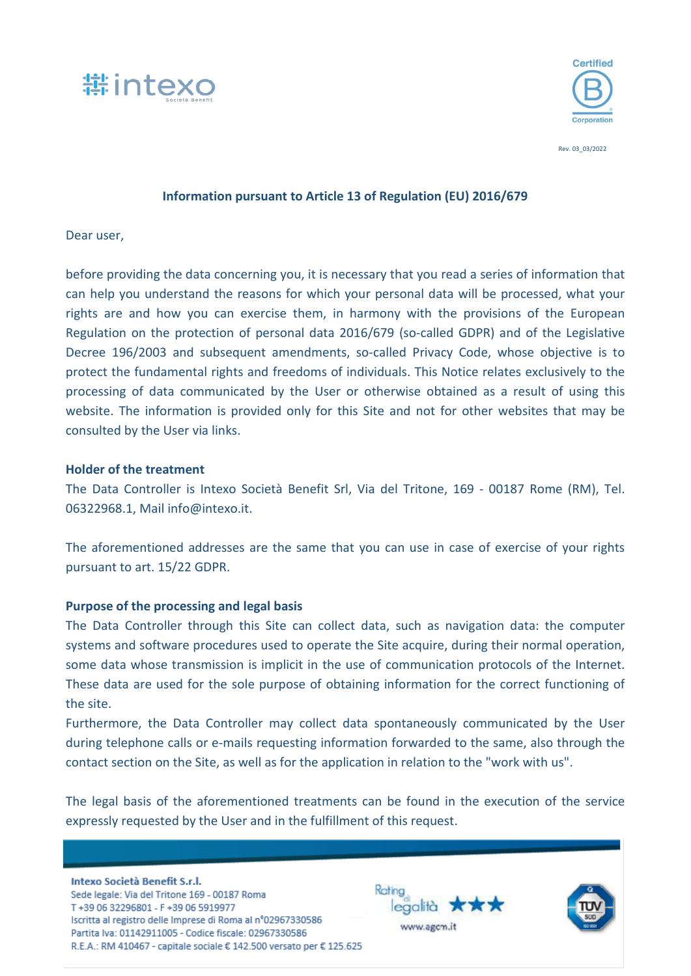



Rev. 03\_03/2022

## **Information pursuant to Article 13 of Regulation (EU) 2016/679**

Dear user,

before providing the data concerning you, it is necessary that you read a series of information that can help you understand the reasons for which your personal data will be processed, what your rights are and how you can exercise them, in harmony with the provisions of the European Regulation on the protection of personal data 2016/679 (so-called GDPR) and of the Legislative Decree 196/2003 and subsequent amendments, so-called Privacy Code, whose objective is to protect the fundamental rights and freedoms of individuals. This Notice relates exclusively to the processing of data communicated by the User or otherwise obtained as a result of using this website. The information is provided only for this Site and not for other websites that may be consulted by the User via links.

### **Holder of the treatment**

The Data Controller is Intexo Società Benefit Srl, Via del Tritone, 169 - 00187 Rome (RM), Tel. 06322968.1, Mail info@intexo.it.

The aforementioned addresses are the same that you can use in case of exercise of your rights pursuant to art. 15/22 GDPR.

## **Purpose of the processing and legal basis**

The Data Controller through this Site can collect data, such as navigation data: the computer systems and software procedures used to operate the Site acquire, during their normal operation, some data whose transmission is implicit in the use of communication protocols of the Internet. These data are used for the sole purpose of obtaining information for the correct functioning of the site.

Furthermore, the Data Controller may collect data spontaneously communicated by the User during telephone calls or e-mails requesting information forwarded to the same, also through the contact section on the Site, as well as for the application in relation to the "work with us".

The legal basis of the aforementioned treatments can be found in the execution of the service expressly requested by the User and in the fulfillment of this request.

Intexo Società Benefit S.r.l. Sede legale: Via del Tritone 169 - 00187 Roma T+39 06 32296801 - F+39 06 5919977 Iscritta al registro delle Imprese di Roma al nº02967330586 Partita Iva: 01142911005 - Codice fiscale: 02967330586 R.E.A.: RM 410467 - capitale sociale € 142.500 versato per € 125.625



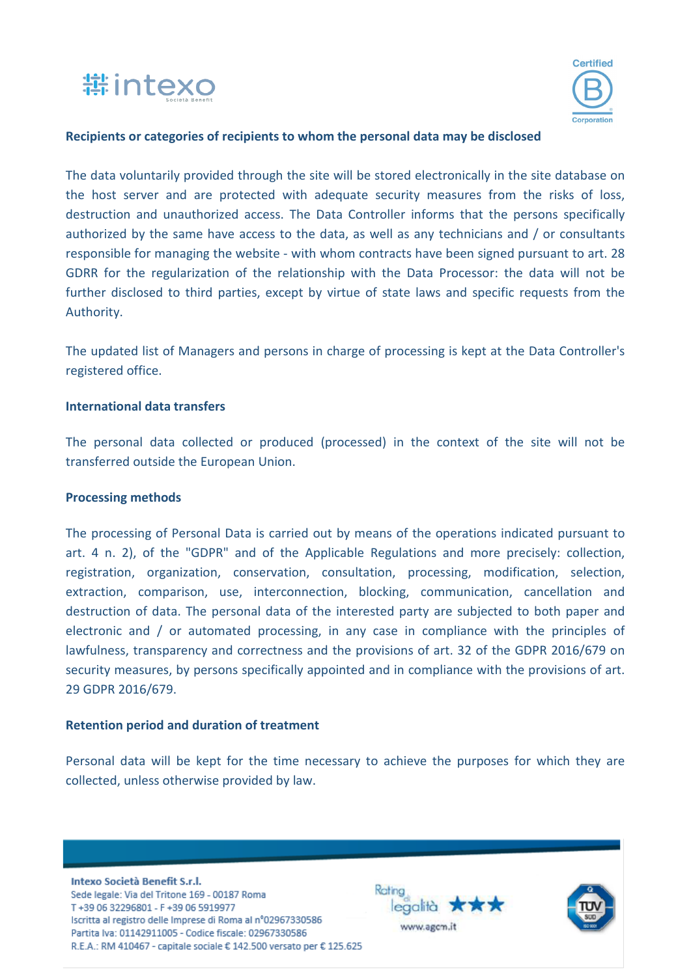



### **Recipients or categories of recipients to whom the personal data may be disclosed**

The data voluntarily provided through the site will be stored electronically in the site database on the host server and are protected with adequate security measures from the risks of loss, destruction and unauthorized access. The Data Controller informs that the persons specifically authorized by the same have access to the data, as well as any technicians and / or consultants responsible for managing the website - with whom contracts have been signed pursuant to art. 28 GDRR for the regularization of the relationship with the Data Processor: the data will not be further disclosed to third parties, except by virtue of state laws and specific requests from the Authority.

The updated list of Managers and persons in charge of processing is kept at the Data Controller's registered office.

#### **International data transfers**

The personal data collected or produced (processed) in the context of the site will not be transferred outside the European Union.

#### **Processing methods**

The processing of Personal Data is carried out by means of the operations indicated pursuant to art. 4 n. 2), of the "GDPR" and of the Applicable Regulations and more precisely: collection, registration, organization, conservation, consultation, processing, modification, selection, extraction, comparison, use, interconnection, blocking, communication, cancellation and destruction of data. The personal data of the interested party are subjected to both paper and electronic and / or automated processing, in any case in compliance with the principles of lawfulness, transparency and correctness and the provisions of art. 32 of the GDPR 2016/679 on security measures, by persons specifically appointed and in compliance with the provisions of art. 29 GDPR 2016/679.

#### **Retention period and duration of treatment**

Personal data will be kept for the time necessary to achieve the purposes for which they are collected, unless otherwise provided by law.

Intexo Società Benefit S.r.l. Sede legale: Via del Tritone 169 - 00187 Roma T+39 06 32296801 - F+39 06 5919977 Iscritta al registro delle Imprese di Roma al nº02967330586 Partita Iva: 01142911005 - Codice fiscale: 02967330586 R.E.A.: RM 410467 - capitale sociale € 142.500 versato per € 125.625